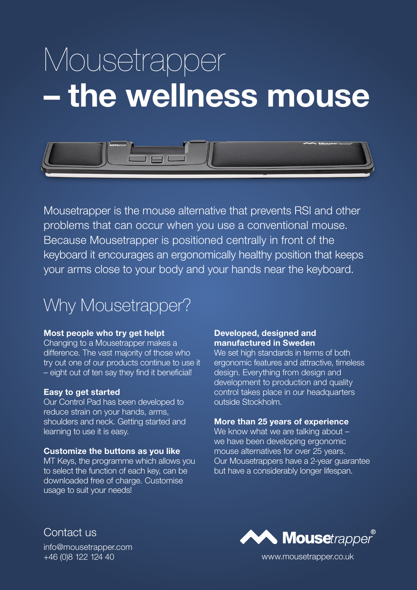# Mousetrapper – the wellness mouse



Mousetrapper is the mouse alternative that prevents RSI and other problems that can occur when you use a conventional mouse. Because Mousetrapper is positioned centrally in front of the keyboard it encourages an ergonomically healthy position that keeps your arms close to your body and your hands near the keyboard.

### Why Mousetrapper?

#### Most people who try get helpt

Changing to a Mousetrapper makes a difference. The vast majority of those who try out one of our products continue to use it – eight out of ten say they find it beneficial!

#### Easy to get started

Our Control Pad has been developed to reduce strain on your hands, arms, shoulders and neck. Getting started and learning to use it is easy.

#### Customize the buttons as you like

MT Keys, the programme which allows you to select the function of each key, can be downloaded free of charge. Customise usage to suit your needs!

#### Developed, designed and manufactured in Sweden

We set high standards in terms of both ergonomic features and attractive, timeless design. Everything from design and development to production and quality control takes place in our headquarters outside Stockholm.

#### More than 25 years of experience

We know what we are talking about we have been developing ergonomic mouse alternatives for over 25 years. Our Mousetrappers have a 2-year guarantee but have a considerably longer lifespan.

Contact us info@mousetrapper.com



+46 (0)8 122 124 40 www.mousetrapper.co.uk